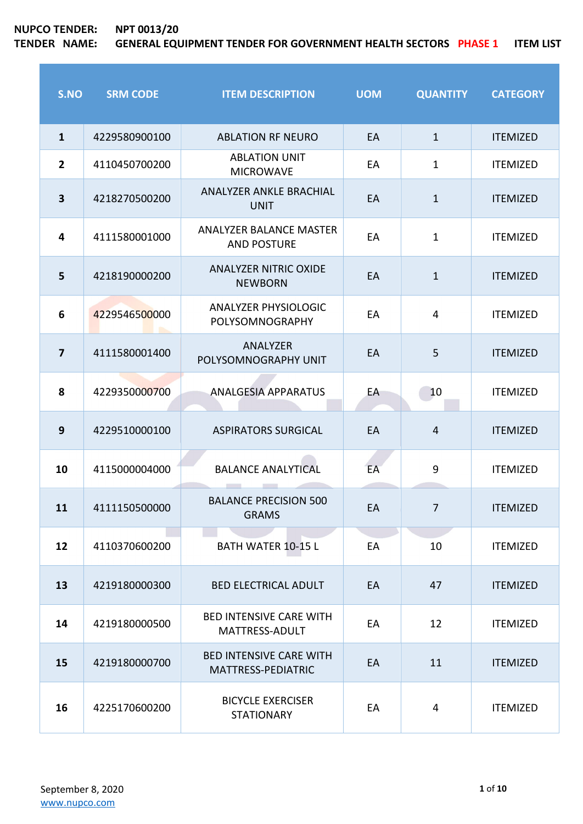| S.NO                    | <b>SRM CODE</b> | <b>ITEM DESCRIPTION</b>                              | <b>UOM</b> | <b>QUANTITY</b> | <b>CATEGORY</b> |
|-------------------------|-----------------|------------------------------------------------------|------------|-----------------|-----------------|
| $\mathbf{1}$            | 4229580900100   | <b>ABLATION RF NEURO</b>                             | EA         | $\mathbf{1}$    | <b>ITEMIZED</b> |
| $\overline{2}$          | 4110450700200   | <b>ABLATION UNIT</b><br><b>MICROWAVE</b>             | EA         | $\mathbf{1}$    | <b>ITEMIZED</b> |
| $\overline{\mathbf{3}}$ | 4218270500200   | ANALYZER ANKLE BRACHIAL<br><b>UNIT</b>               | EA         | $\mathbf{1}$    | <b>ITEMIZED</b> |
| $\overline{\mathbf{4}}$ | 4111580001000   | <b>ANALYZER BALANCE MASTER</b><br><b>AND POSTURE</b> | EA         | $\mathbf{1}$    | <b>ITEMIZED</b> |
| 5                       | 4218190000200   | <b>ANALYZER NITRIC OXIDE</b><br><b>NEWBORN</b>       | EA         | $\mathbf{1}$    | <b>ITEMIZED</b> |
| 6                       | 4229546500000   | <b>ANALYZER PHYSIOLOGIC</b><br>POLYSOMNOGRAPHY       | EA         | 4               | <b>ITEMIZED</b> |
| $\overline{\mathbf{z}}$ | 4111580001400   | ANALYZER<br>POLYSOMNOGRAPHY UNIT                     | EA         | 5               | <b>ITEMIZED</b> |
| 8                       | 4229350000700   | <b>ANALGESIA APPARATUS</b>                           | EA         | 10              | <b>ITEMIZED</b> |
| 9                       | 4229510000100   | <b>ASPIRATORS SURGICAL</b>                           | EA         | $\overline{4}$  | <b>ITEMIZED</b> |
| 10                      | 4115000004000   | <b>BALANCE ANALYTICAL</b>                            | EA         | 9               | <b>ITEMIZED</b> |
| 11                      | 4111150500000   | <b>BALANCE PRECISION 500</b><br><b>GRAMS</b>         | EA         | 7               | <b>ITEMIZED</b> |
| 12                      | 4110370600200   | <b>BATH WATER 10-15 L</b>                            | EA         | 10              | <b>ITEMIZED</b> |
| 13                      | 4219180000300   | <b>BED ELECTRICAL ADULT</b>                          | EA         | 47              | <b>ITEMIZED</b> |
| 14                      | 4219180000500   | <b>BED INTENSIVE CARE WITH</b><br>MATTRESS-ADULT     | EA         | 12              | <b>ITEMIZED</b> |
| 15                      | 4219180000700   | <b>BED INTENSIVE CARE WITH</b><br>MATTRESS-PEDIATRIC | EA         | 11              | <b>ITEMIZED</b> |
| 16                      | 4225170600200   | <b>BICYCLE EXERCISER</b><br><b>STATIONARY</b>        | EA         | 4               | <b>ITEMIZED</b> |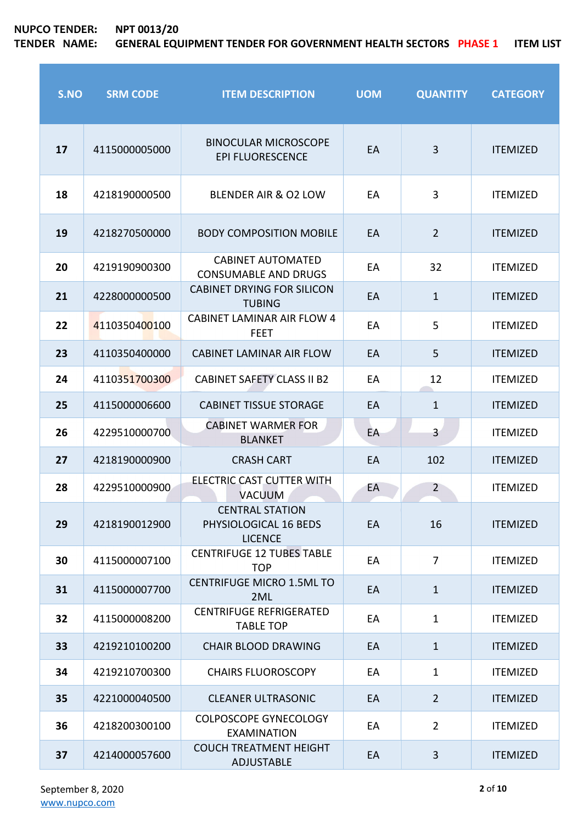| S.NO | <b>SRM CODE</b> | <b>ITEM DESCRIPTION</b>                                           | <b>UOM</b> | <b>QUANTITY</b> | <b>CATEGORY</b> |
|------|-----------------|-------------------------------------------------------------------|------------|-----------------|-----------------|
| 17   | 4115000005000   | <b>BINOCULAR MICROSCOPE</b><br><b>EPI FLUORESCENCE</b>            | EA         | 3               | <b>ITEMIZED</b> |
| 18   | 4218190000500   | BLENDER AIR & O2 LOW                                              | EA         | 3               | <b>ITEMIZED</b> |
| 19   | 4218270500000   | <b>BODY COMPOSITION MOBILE</b>                                    | EA         | $\overline{2}$  | <b>ITEMIZED</b> |
| 20   | 4219190900300   | <b>CABINET AUTOMATED</b><br><b>CONSUMABLE AND DRUGS</b>           | EA         | 32              | <b>ITEMIZED</b> |
| 21   | 4228000000500   | <b>CABINET DRYING FOR SILICON</b><br><b>TUBING</b>                | EA         | $\mathbf{1}$    | <b>ITEMIZED</b> |
| 22   | 4110350400100   | <b>CABINET LAMINAR AIR FLOW 4</b><br><b>FEET</b>                  | EA         | 5               | <b>ITEMIZED</b> |
| 23   | 4110350400000   | <b>CABINET LAMINAR AIR FLOW</b>                                   | EA         | 5               | <b>ITEMIZED</b> |
| 24   | 4110351700300   | <b>CABINET SAFETY CLASS II B2</b>                                 | EA         | 12              | <b>ITEMIZED</b> |
| 25   | 4115000006600   | <b>CABINET TISSUE STORAGE</b>                                     | EA         | $\mathbf{1}$    | <b>ITEMIZED</b> |
| 26   | 4229510000700   | <b>CABINET WARMER FOR</b><br><b>BLANKET</b>                       | EA         | $\overline{3}$  | <b>ITEMIZED</b> |
| 27   | 4218190000900   | <b>CRASH CART</b>                                                 | EA         | 102             | <b>ITEMIZED</b> |
| 28   | 4229510000900   | ELECTRIC CAST CUTTER WITH<br><b>VACUUM</b>                        | EA         | $\overline{2}$  | <b>ITEMIZED</b> |
| 29   | 4218190012900   | <b>CENTRAL STATION</b><br>PHYSIOLOGICAL 16 BEDS<br><b>LICENCE</b> | EA         | 16              | <b>ITEMIZED</b> |
| 30   | 4115000007100   | <b>CENTRIFUGE 12 TUBES TABLE</b><br><b>TOP</b>                    | EA         | $\overline{7}$  | <b>ITEMIZED</b> |
| 31   | 4115000007700   | <b>CENTRIFUGE MICRO 1.5ML TO</b><br>2ML                           | EA         | $\mathbf{1}$    | <b>ITEMIZED</b> |
| 32   | 4115000008200   | <b>CENTRIFUGE REFRIGERATED</b><br><b>TABLE TOP</b>                | EA         | $\mathbf{1}$    | <b>ITEMIZED</b> |
| 33   | 4219210100200   | <b>CHAIR BLOOD DRAWING</b>                                        | EA         | $\mathbf{1}$    | <b>ITEMIZED</b> |
| 34   | 4219210700300   | <b>CHAIRS FLUOROSCOPY</b>                                         | EA         | $\mathbf{1}$    | <b>ITEMIZED</b> |
| 35   | 4221000040500   | <b>CLEANER ULTRASONIC</b>                                         | EA         | $\overline{2}$  | <b>ITEMIZED</b> |
| 36   | 4218200300100   | <b>COLPOSCOPE GYNECOLOGY</b><br><b>EXAMINATION</b>                | EA         | $\overline{2}$  | <b>ITEMIZED</b> |
| 37   | 4214000057600   | <b>COUCH TREATMENT HEIGHT</b><br><b>ADJUSTABLE</b>                | EA         | 3               | <b>ITEMIZED</b> |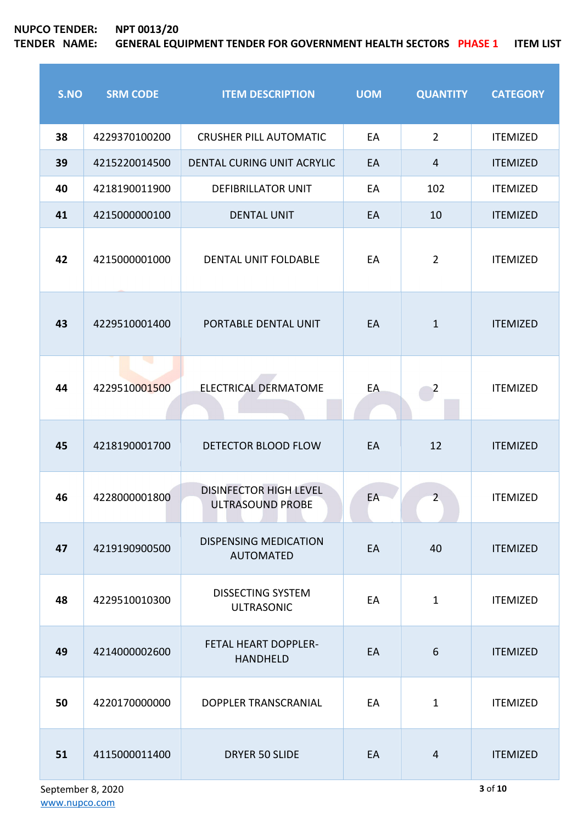| S.NO | <b>SRM CODE</b>        | <b>ITEM DESCRIPTION</b>                           | <b>UOM</b> | <b>QUANTITY</b> | <b>CATEGORY</b> |
|------|------------------------|---------------------------------------------------|------------|-----------------|-----------------|
| 38   | 4229370100200          | <b>CRUSHER PILL AUTOMATIC</b>                     | EA         | $\overline{2}$  | <b>ITEMIZED</b> |
| 39   | 4215220014500          | DENTAL CURING UNIT ACRYLIC                        | EA         | $\overline{4}$  | <b>ITEMIZED</b> |
| 40   | 4218190011900          | <b>DEFIBRILLATOR UNIT</b>                         | EA         | 102             | <b>ITEMIZED</b> |
| 41   | 4215000000100          | <b>DENTAL UNIT</b>                                | EA         | 10              | <b>ITEMIZED</b> |
| 42   | 4215000001000          | DENTAL UNIT FOLDABLE                              | EA         | $\overline{2}$  | <b>ITEMIZED</b> |
| 43   | 4229510001400          | PORTABLE DENTAL UNIT                              | EA         | $\mathbf{1}$    | <b>ITEMIZED</b> |
| 44   | ال ال<br>4229510001500 | <b>ELECTRICAL DERMATOME</b>                       | EA         | $\overline{2}$  | <b>ITEMIZED</b> |
| 45   | 4218190001700          | DETECTOR BLOOD FLOW                               | EA         | 12              | <b>ITEMIZED</b> |
| 46   | 4228000001800          | <b>DISINFECTOR HIGH LEVEL</b><br>ULTRASOUND PROBE | EA         | $\overline{2}$  | <b>ITEMIZED</b> |
| 47   | 4219190900500          | <b>DISPENSING MEDICATION</b><br><b>AUTOMATED</b>  | EA         | 40              | <b>ITEMIZED</b> |
| 48   | 4229510010300          | <b>DISSECTING SYSTEM</b><br><b>ULTRASONIC</b>     | EA         | $\mathbf{1}$    | <b>ITEMIZED</b> |
| 49   | 4214000002600          | <b>FETAL HEART DOPPLER-</b><br><b>HANDHELD</b>    | EA         | 6               | <b>ITEMIZED</b> |
| 50   | 4220170000000          | DOPPLER TRANSCRANIAL                              | EA         | $\mathbf{1}$    | <b>ITEMIZED</b> |
| 51   | 4115000011400          | <b>DRYER 50 SLIDE</b>                             | EA         | $\overline{4}$  | <b>ITEMIZED</b> |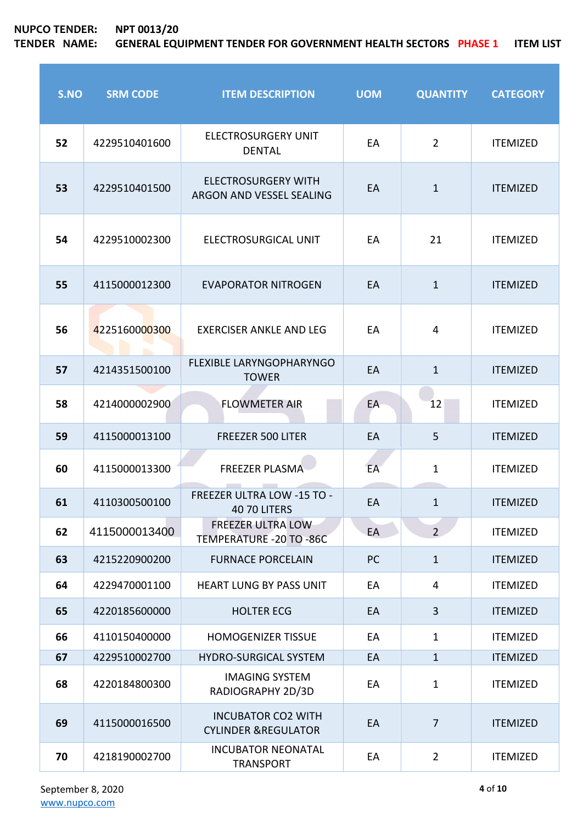| S.NO | <b>SRM CODE</b> | <b>ITEM DESCRIPTION</b>                                     | <b>UOM</b> | <b>QUANTITY</b> | <b>CATEGORY</b> |
|------|-----------------|-------------------------------------------------------------|------------|-----------------|-----------------|
| 52   | 4229510401600   | <b>ELECTROSURGERY UNIT</b><br><b>DENTAL</b>                 | EA         | $\overline{2}$  | <b>ITEMIZED</b> |
| 53   | 4229510401500   | <b>ELECTROSURGERY WITH</b><br>ARGON AND VESSEL SEALING      | EA         | $\mathbf{1}$    | <b>ITEMIZED</b> |
| 54   | 4229510002300   | ELECTROSURGICAL UNIT                                        | EA         | 21              | <b>ITEMIZED</b> |
| 55   | 4115000012300   | <b>EVAPORATOR NITROGEN</b>                                  | EA         | $\mathbf{1}$    | <b>ITEMIZED</b> |
| 56   | 4225160000300   | <b>EXERCISER ANKLE AND LEG</b>                              | EA         | 4               | <b>ITEMIZED</b> |
| 57   | 4214351500100   | FLEXIBLE LARYNGOPHARYNGO<br><b>TOWER</b>                    | EA         | $\mathbf{1}$    | <b>ITEMIZED</b> |
| 58   | 4214000002900   | <b>FLOWMETER AIR</b>                                        | EA         | 12              | <b>ITEMIZED</b> |
| 59   | 4115000013100   | <b>FREEZER 500 LITER</b>                                    | EA         | 5               | <b>ITEMIZED</b> |
| 60   | 4115000013300   | <b>FREEZER PLASMA</b>                                       | EA         | $\mathbf{1}$    | <b>ITEMIZED</b> |
| 61   | 4110300500100   | FREEZER ULTRA LOW -15 TO -<br><b>40 70 LITERS</b>           | EA         | 1               | <b>ITEMIZED</b> |
| 62   | 4115000013400   | <b>FREEZER ULTRA LOW</b><br>TEMPERATURE - 20 TO - 86C       | EA         | $\overline{2}$  | <b>ITEMIZED</b> |
| 63   | 4215220900200   | <b>FURNACE PORCELAIN</b>                                    | PC         | $\mathbf{1}$    | <b>ITEMIZED</b> |
| 64   | 4229470001100   | <b>HEART LUNG BY PASS UNIT</b>                              | EA         | $\overline{4}$  | <b>ITEMIZED</b> |
| 65   | 4220185600000   | <b>HOLTER ECG</b>                                           | EA         | $\overline{3}$  | <b>ITEMIZED</b> |
| 66   | 4110150400000   | <b>HOMOGENIZER TISSUE</b>                                   | EA         | $\mathbf{1}$    | <b>ITEMIZED</b> |
| 67   | 4229510002700   | <b>HYDRO-SURGICAL SYSTEM</b>                                | EA         | $\mathbf{1}$    | <b>ITEMIZED</b> |
| 68   | 4220184800300   | <b>IMAGING SYSTEM</b><br>RADIOGRAPHY 2D/3D                  | EA         | $\mathbf{1}$    | <b>ITEMIZED</b> |
| 69   | 4115000016500   | <b>INCUBATOR CO2 WITH</b><br><b>CYLINDER &amp;REGULATOR</b> | EA         | $\overline{7}$  | <b>ITEMIZED</b> |
| 70   | 4218190002700   | <b>INCUBATOR NEONATAL</b><br><b>TRANSPORT</b>               | EA         | $\overline{2}$  | <b>ITEMIZED</b> |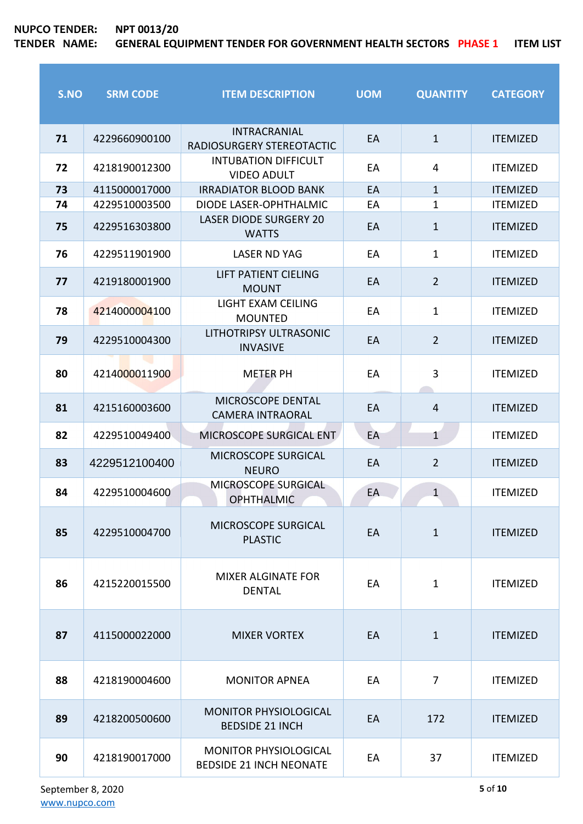ř.

| S.NO | <b>SRM CODE</b> | <b>ITEM DESCRIPTION</b>                                        | <b>UOM</b> | <b>QUANTITY</b> | <b>CATEGORY</b> |
|------|-----------------|----------------------------------------------------------------|------------|-----------------|-----------------|
| 71   | 4229660900100   | <b>INTRACRANIAL</b><br>RADIOSURGERY STEREOTACTIC               | EA         | $\mathbf{1}$    | <b>ITEMIZED</b> |
| 72   | 4218190012300   | <b>INTUBATION DIFFICULT</b><br><b>VIDEO ADULT</b>              | EA         | 4               | <b>ITEMIZED</b> |
| 73   | 4115000017000   | <b>IRRADIATOR BLOOD BANK</b>                                   | EA         | $\mathbf{1}$    | <b>ITEMIZED</b> |
| 74   | 4229510003500   | DIODE LASER-OPHTHALMIC                                         | EA         | $\mathbf 1$     | <b>ITEMIZED</b> |
| 75   | 4229516303800   | <b>LASER DIODE SURGERY 20</b><br><b>WATTS</b>                  | EA         | $\mathbf{1}$    | <b>ITEMIZED</b> |
| 76   | 4229511901900   | <b>LASER ND YAG</b>                                            | EA         | $\mathbf{1}$    | <b>ITEMIZED</b> |
| 77   | 4219180001900   | LIFT PATIENT CIELING<br><b>MOUNT</b>                           | EA         | $\overline{2}$  | <b>ITEMIZED</b> |
| 78   | 4214000004100   | LIGHT EXAM CEILING<br><b>MOUNTED</b>                           | EA         | $\mathbf{1}$    | <b>ITEMIZED</b> |
| 79   | 4229510004300   | LITHOTRIPSY ULTRASONIC<br><b>INVASIVE</b>                      | EA         | $\overline{2}$  | <b>ITEMIZED</b> |
| 80   | 4214000011900   | <b>METER PH</b>                                                | EA         | 3               | <b>ITEMIZED</b> |
| 81   | 4215160003600   | MICROSCOPE DENTAL<br><b>CAMERA INTRAORAL</b>                   | EA         | $\overline{4}$  | <b>ITEMIZED</b> |
| 82   | 4229510049400   | MICROSCOPE SURGICAL ENT                                        | EA         | $\mathbf{1}$    | <b>ITEMIZED</b> |
| 83   | 4229512100400   | MICROSCOPE SURGICAL<br><b>NEURO</b>                            | EA         | $\overline{2}$  | <b>ITEMIZED</b> |
| 84   | 4229510004600   | MICROSCOPE SURGICAL<br><b>OPHTHALMIC</b>                       | EA         | $\mathbf{1}$    | <b>ITEMIZED</b> |
| 85   | 4229510004700   | <b>MICROSCOPE SURGICAL</b><br><b>PLASTIC</b>                   | EA         | $\mathbf{1}$    | <b>ITEMIZED</b> |
| 86   | 4215220015500   | <b>MIXER ALGINATE FOR</b><br><b>DENTAL</b>                     | EA         | $\mathbf{1}$    | <b>ITEMIZED</b> |
| 87   | 4115000022000   | <b>MIXER VORTEX</b>                                            | EA         | $\mathbf{1}$    | <b>ITEMIZED</b> |
| 88   | 4218190004600   | <b>MONITOR APNEA</b>                                           | EA         | $\overline{7}$  | <b>ITEMIZED</b> |
| 89   | 4218200500600   | <b>MONITOR PHYSIOLOGICAL</b><br><b>BEDSIDE 21 INCH</b>         | EA         | 172             | <b>ITEMIZED</b> |
| 90   | 4218190017000   | <b>MONITOR PHYSIOLOGICAL</b><br><b>BEDSIDE 21 INCH NEONATE</b> | EA         | 37              | <b>ITEMIZED</b> |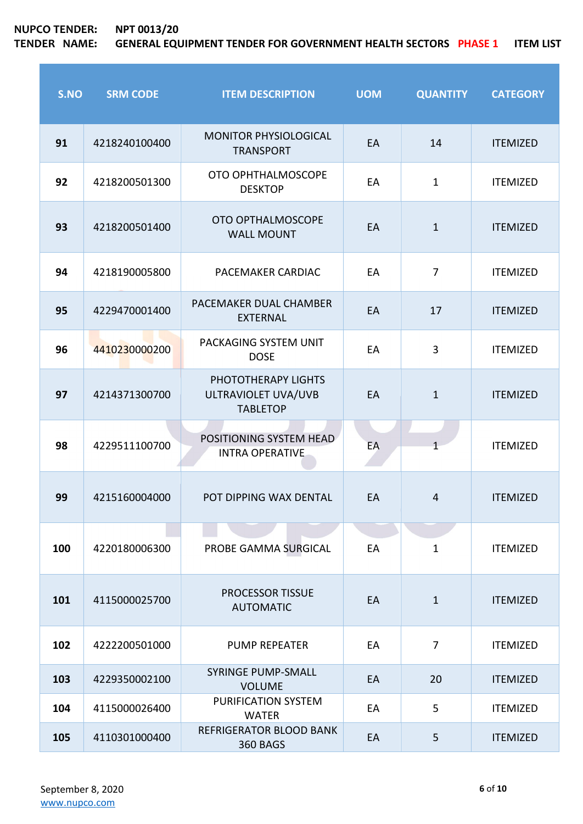| S.NO | <b>SRM CODE</b> | <b>ITEM DESCRIPTION</b>                                       | <b>UOM</b> | <b>QUANTITY</b> | <b>CATEGORY</b> |
|------|-----------------|---------------------------------------------------------------|------------|-----------------|-----------------|
| 91   | 4218240100400   | <b>MONITOR PHYSIOLOGICAL</b><br><b>TRANSPORT</b>              | EA         | 14              | <b>ITEMIZED</b> |
| 92   | 4218200501300   | OTO OPHTHALMOSCOPE<br><b>DESKTOP</b>                          | EA         | $\mathbf{1}$    | <b>ITEMIZED</b> |
| 93   | 4218200501400   | OTO OPTHALMOSCOPE<br><b>WALL MOUNT</b>                        | EA         | $\mathbf{1}$    | <b>ITEMIZED</b> |
| 94   | 4218190005800   | PACEMAKER CARDIAC                                             | EA         | 7               | <b>ITEMIZED</b> |
| 95   | 4229470001400   | PACEMAKER DUAL CHAMBER<br><b>EXTERNAL</b>                     | EA         | 17              | <b>ITEMIZED</b> |
| 96   | 4410230000200   | PACKAGING SYSTEM UNIT<br><b>DOSE</b>                          | EA         | 3               | <b>ITEMIZED</b> |
| 97   | 4214371300700   | PHOTOTHERAPY LIGHTS<br>ULTRAVIOLET UVA/UVB<br><b>TABLETOP</b> | EA         | $\mathbf{1}$    | <b>ITEMIZED</b> |
| 98   | 4229511100700   | POSITIONING SYSTEM HEAD<br><b>INTRA OPERATIVE</b>             | EA         |                 | <b>ITEMIZED</b> |
| 99   | 4215160004000   | POT DIPPING WAX DENTAL                                        | EA         | 4               | <b>ITEMIZED</b> |
| 100  | 4220180006300   | PROBE GAMMA SURGICAL                                          | EA         | $\mathbf{1}$    | <b>ITEMIZED</b> |
| 101  | 4115000025700   | <b>PROCESSOR TISSUE</b><br><b>AUTOMATIC</b>                   | EA         | $\mathbf{1}$    | <b>ITEMIZED</b> |
| 102  | 4222200501000   | <b>PUMP REPEATER</b>                                          | EA         | $\overline{7}$  | <b>ITEMIZED</b> |
| 103  | 4229350002100   | <b>SYRINGE PUMP-SMALL</b><br><b>VOLUME</b>                    | EA         | 20              | <b>ITEMIZED</b> |
| 104  | 4115000026400   | PURIFICATION SYSTEM<br><b>WATER</b>                           | EA         | 5               | <b>ITEMIZED</b> |
| 105  | 4110301000400   | <b>REFRIGERATOR BLOOD BANK</b><br><b>360 BAGS</b>             | EA         | 5               | <b>ITEMIZED</b> |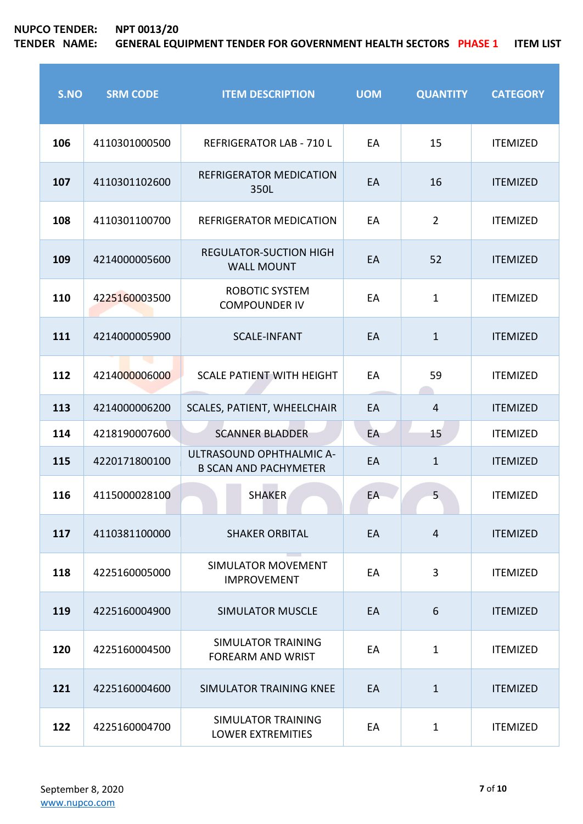**NUPCO TENDER: NPT 0013/20**

| S.NO | <b>SRM CODE</b> | <b>ITEM DESCRIPTION</b>                                  | <b>UOM</b> | <b>QUANTITY</b> | <b>CATEGORY</b> |
|------|-----------------|----------------------------------------------------------|------------|-----------------|-----------------|
| 106  | 4110301000500   | <b>REFRIGERATOR LAB - 710 L</b>                          | EA         | 15              | <b>ITEMIZED</b> |
| 107  | 4110301102600   | <b>REFRIGERATOR MEDICATION</b><br>350L                   | EA         | 16              | <b>ITEMIZED</b> |
| 108  | 4110301100700   | REFRIGERATOR MEDICATION                                  | EA         | $\overline{2}$  | <b>ITEMIZED</b> |
| 109  | 4214000005600   | <b>REGULATOR-SUCTION HIGH</b><br><b>WALL MOUNT</b>       | EA         | 52              | <b>ITEMIZED</b> |
| 110  | 4225160003500   | <b>ROBOTIC SYSTEM</b><br><b>COMPOUNDER IV</b>            | EA         | $\mathbf{1}$    | <b>ITEMIZED</b> |
| 111  | 4214000005900   | <b>SCALE-INFANT</b>                                      | EA         | $\mathbf{1}$    | <b>ITEMIZED</b> |
| 112  | 4214000006000   | <b>SCALE PATIENT WITH HEIGHT</b>                         | EA         | 59              | <b>ITEMIZED</b> |
| 113  | 4214000006200   | SCALES, PATIENT, WHEELCHAIR                              | EA         | $\overline{4}$  | <b>ITEMIZED</b> |
| 114  | 4218190007600   | <b>SCANNER BLADDER</b>                                   | EA         | 15              | <b>ITEMIZED</b> |
| 115  | 4220171800100   | ULTRASOUND OPHTHALMIC A-<br><b>B SCAN AND PACHYMETER</b> | EA         | $\mathbf{1}$    | <b>ITEMIZED</b> |
| 116  | 4115000028100   | <b>SHAKER</b>                                            | EA         | 5               | <b>ITEMIZED</b> |
| 117  | 4110381100000   | <b>SHAKER ORBITAL</b>                                    | EA         | $\overline{4}$  | <b>ITEMIZED</b> |
| 118  | 4225160005000   | <b>SIMULATOR MOVEMENT</b><br><b>IMPROVEMENT</b>          | EA         | 3               | <b>ITEMIZED</b> |
| 119  | 4225160004900   | <b>SIMULATOR MUSCLE</b>                                  | EA         | 6               | <b>ITEMIZED</b> |
| 120  | 4225160004500   | <b>SIMULATOR TRAINING</b><br><b>FOREARM AND WRIST</b>    | EA         | $\mathbf{1}$    | <b>ITEMIZED</b> |
| 121  | 4225160004600   | SIMULATOR TRAINING KNEE                                  | EA         | $\mathbf{1}$    | <b>ITEMIZED</b> |
| 122  | 4225160004700   | <b>SIMULATOR TRAINING</b><br><b>LOWER EXTREMITIES</b>    | EA         | $\mathbf{1}$    | <b>ITEMIZED</b> |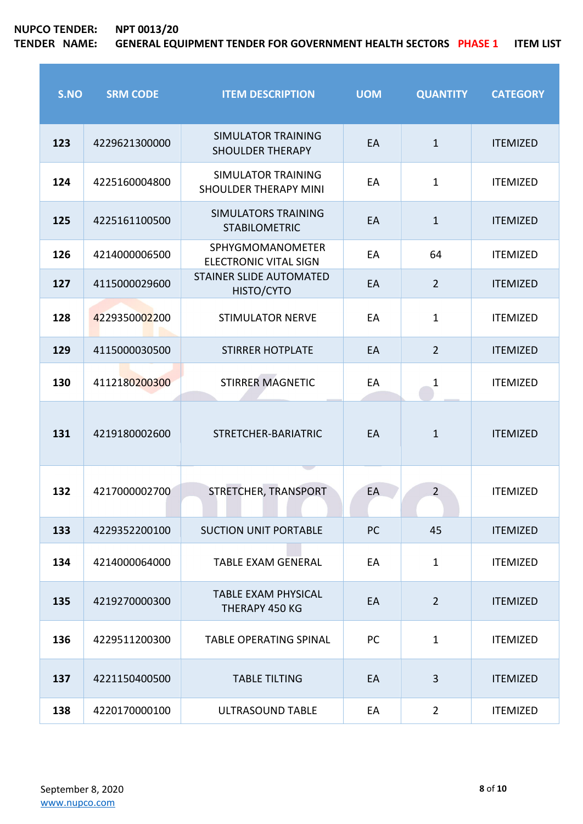r

| S.NO | <b>SRM CODE</b> | <b>ITEM DESCRIPTION</b>                                   | <b>UOM</b> | <b>QUANTITY</b> | <b>CATEGORY</b> |
|------|-----------------|-----------------------------------------------------------|------------|-----------------|-----------------|
| 123  | 4229621300000   | <b>SIMULATOR TRAINING</b><br><b>SHOULDER THERAPY</b>      | EA         | $\mathbf{1}$    | <b>ITEMIZED</b> |
| 124  | 4225160004800   | <b>SIMULATOR TRAINING</b><br><b>SHOULDER THERAPY MINI</b> | EA         | $\mathbf{1}$    | <b>ITEMIZED</b> |
| 125  | 4225161100500   | <b>SIMULATORS TRAINING</b><br><b>STABILOMETRIC</b>        | EA         | $\mathbf{1}$    | <b>ITEMIZED</b> |
| 126  | 4214000006500   | <b>SPHYGMOMANOMETER</b><br><b>ELECTRONIC VITAL SIGN</b>   | EA         | 64              | <b>ITEMIZED</b> |
| 127  | 4115000029600   | <b>STAINER SLIDE AUTOMATED</b><br>HISTO/CYTO              | EA         | $\overline{2}$  | <b>ITEMIZED</b> |
| 128  | 4229350002200   | <b>STIMULATOR NERVE</b>                                   | EA         | $\mathbf{1}$    | <b>ITEMIZED</b> |
| 129  | 4115000030500   | <b>STIRRER HOTPLATE</b>                                   | EA         | $\overline{2}$  | <b>ITEMIZED</b> |
| 130  | 4112180200300   | <b>STIRRER MAGNETIC</b>                                   | EA         | 1               | <b>ITEMIZED</b> |
| 131  | 4219180002600   | STRETCHER-BARIATRIC                                       | EA         | $\mathbf{1}$    | <b>ITEMIZED</b> |
| 132  | 4217000002700   | STRETCHER, TRANSPORT                                      | EA         | $\overline{2}$  | <b>ITEMIZED</b> |
| 133  | 4229352200100   | <b>SUCTION UNIT PORTABLE</b>                              | PC         | 45              | <b>ITEMIZED</b> |
| 134  | 4214000064000   | <b>TABLE EXAM GENERAL</b>                                 | EA         | $\mathbf{1}$    | <b>ITEMIZED</b> |
| 135  | 4219270000300   | <b>TABLE EXAM PHYSICAL</b><br>THERAPY 450 KG              | EA         | $\overline{2}$  | <b>ITEMIZED</b> |
| 136  | 4229511200300   | <b>TABLE OPERATING SPINAL</b>                             | PC         | $\mathbf{1}$    | <b>ITEMIZED</b> |
| 137  | 4221150400500   | <b>TABLE TILTING</b>                                      | EA         | 3               | <b>ITEMIZED</b> |
| 138  | 4220170000100   | ULTRASOUND TABLE                                          | EA         | $\overline{2}$  | <b>ITEMIZED</b> |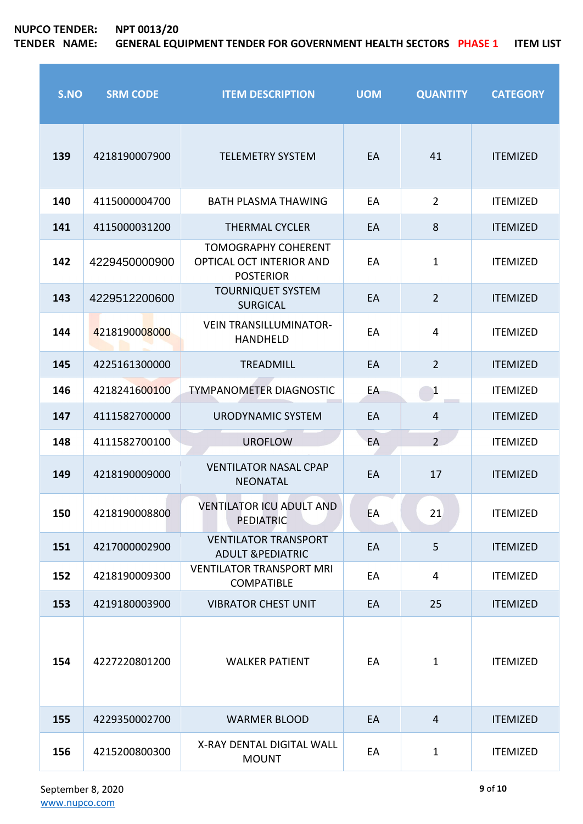# **NUPCO TENDER: NPT 0013/20**

| S.NO | <b>SRM CODE</b> | <b>ITEM DESCRIPTION</b>                                                    | <b>UOM</b> | <b>QUANTITY</b> | <b>CATEGORY</b> |
|------|-----------------|----------------------------------------------------------------------------|------------|-----------------|-----------------|
| 139  | 4218190007900   | <b>TELEMETRY SYSTEM</b>                                                    | EA         | 41              | <b>ITEMIZED</b> |
| 140  | 4115000004700   | <b>BATH PLASMA THAWING</b>                                                 | EA         | $\overline{2}$  | <b>ITEMIZED</b> |
| 141  | 4115000031200   | <b>THERMAL CYCLER</b>                                                      | EA         | 8               | <b>ITEMIZED</b> |
| 142  | 4229450000900   | <b>TOMOGRAPHY COHERENT</b><br>OPTICAL OCT INTERIOR AND<br><b>POSTERIOR</b> | EA         | $\mathbf{1}$    | <b>ITEMIZED</b> |
| 143  | 4229512200600   | <b>TOURNIQUET SYSTEM</b><br><b>SURGICAL</b>                                | EA         | $\overline{2}$  | <b>ITEMIZED</b> |
| 144  | 4218190008000   | <b>VEIN TRANSILLUMINATOR-</b><br><b>HANDHELD</b>                           | EA         | 4               | <b>ITEMIZED</b> |
| 145  | 4225161300000   | <b>TREADMILL</b>                                                           | EA         | $\overline{2}$  | <b>ITEMIZED</b> |
| 146  | 4218241600100   | <b>TYMPANOMETER DIAGNOSTIC</b>                                             | EA         | $\mathbf{1}$    | <b>ITEMIZED</b> |
| 147  | 4111582700000   | <b>URODYNAMIC SYSTEM</b>                                                   | EA         | $\overline{4}$  | <b>ITEMIZED</b> |
| 148  | 4111582700100   | <b>UROFLOW</b>                                                             | EA         | 2 <sup>1</sup>  | <b>ITEMIZED</b> |
| 149  | 4218190009000   | <b>VENTILATOR NASAL CPAP</b><br><b>NEONATAL</b>                            | EA         | 17              | <b>ITEMIZED</b> |
| 150  | 4218190008800   | <b>VENTILATOR ICU ADULT AND</b><br><b>PEDIATRIC</b>                        | EA         | 21              | <b>ITEMIZED</b> |
| 151  | 4217000002900   | <b>VENTILATOR TRANSPORT</b><br><b>ADULT &amp;PEDIATRIC</b>                 | EA         | 5               | <b>ITEMIZED</b> |
| 152  | 4218190009300   | <b>VENTILATOR TRANSPORT MRI</b><br><b>COMPATIBLE</b>                       | EA         | 4               | <b>ITEMIZED</b> |
| 153  | 4219180003900   | <b>VIBRATOR CHEST UNIT</b>                                                 | EA         | 25              | <b>ITEMIZED</b> |
| 154  | 4227220801200   | <b>WALKER PATIENT</b>                                                      | EA         | $\mathbf{1}$    | <b>ITEMIZED</b> |
| 155  | 4229350002700   | <b>WARMER BLOOD</b>                                                        | EA         | $\overline{4}$  | <b>ITEMIZED</b> |
| 156  | 4215200800300   | X-RAY DENTAL DIGITAL WALL<br><b>MOUNT</b>                                  | EA         | $\mathbf{1}$    | <b>ITEMIZED</b> |